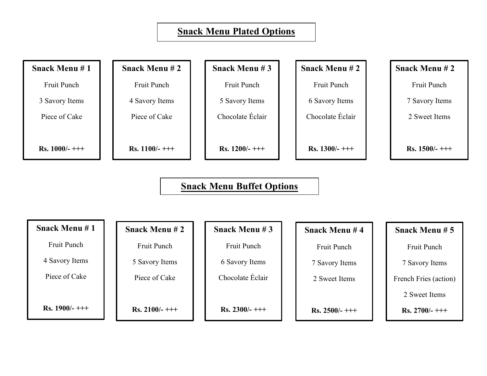## **Snack Menu Plated Options**

**Snack Menu # 1**

Fruit Punch

3 Savory Items

Piece of Cake

**Rs. 1000/- +++**

**Snack Menu # 2**

Fruit Punch

4 Savory Items

Piece of Cake

**Rs. 1100/- +++**

**Snack Menu # 3**

Fruit Punch 5 Savory Items

Chocolate Éclair

**Rs. 1200/- +++**

**Snack Menu # 2**

Fruit Punch

6 Savory Items

Chocolate Éclair

**Rs. 1300/- +++**

**Snack Menu # 2**

Fruit Punch

7 Savory Items

2 Sweet Items

**Rs. 1500/- +++**

### **Snack Menu Buffet Options**

| <b>Snack Menu #1</b> | <b>Snack Menu #2</b> | <b>Snack Menu #3</b> | <b>Snack Menu#4</b> |
|----------------------|----------------------|----------------------|---------------------|
| <b>Fruit Punch</b>   | Fruit Punch          | <b>Fruit Punch</b>   | Fruit Punch         |

4 Savory Items

Piece of Cake

**Rs. 1900/- +++**

5 Savory Items

Piece of Cake

**Rs. 2100/- +++**

6 Savory Items

Chocolate Éclair

**Rs. 2300/- +++**

7 Savory Items

2 Sweet Items

**Rs. 2500/- +++**

# **Snack Menu # 5**

Fruit Punch

7 Savory Items

French Fries (action)

2 Sweet Items

**Rs. 2700/- +++**